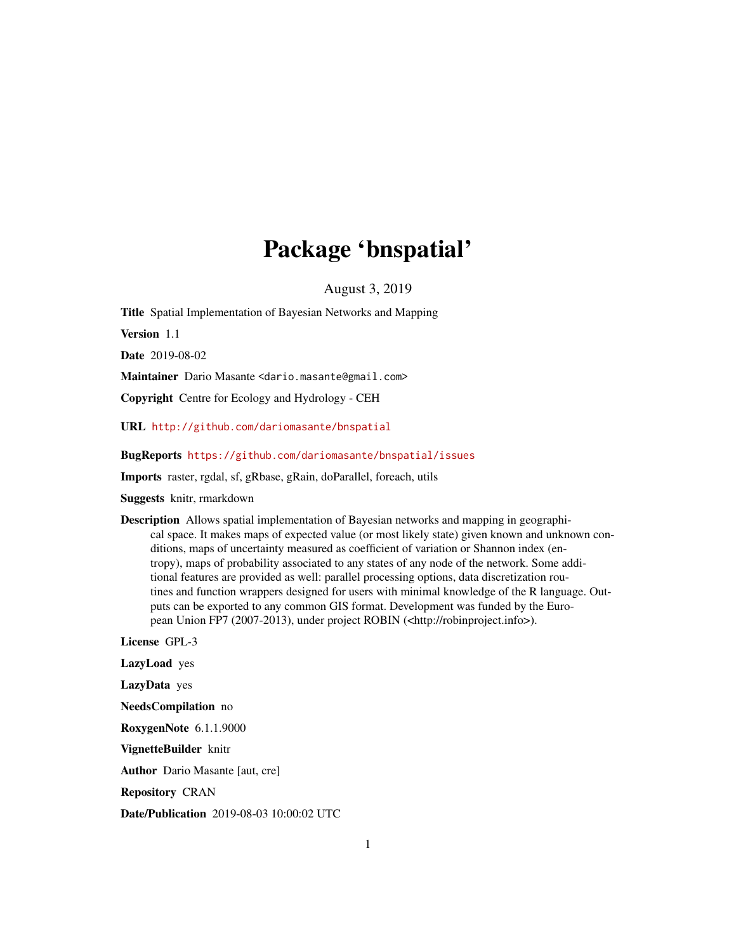## Package 'bnspatial'

August 3, 2019

<span id="page-0-0"></span>Title Spatial Implementation of Bayesian Networks and Mapping

Version 1.1

Date 2019-08-02

Maintainer Dario Masante <dario.masante@gmail.com>

Copyright Centre for Ecology and Hydrology - CEH

URL <http://github.com/dariomasante/bnspatial>

BugReports <https://github.com/dariomasante/bnspatial/issues>

Imports raster, rgdal, sf, gRbase, gRain, doParallel, foreach, utils

Suggests knitr, rmarkdown

Description Allows spatial implementation of Bayesian networks and mapping in geographical space. It makes maps of expected value (or most likely state) given known and unknown conditions, maps of uncertainty measured as coefficient of variation or Shannon index (entropy), maps of probability associated to any states of any node of the network. Some additional features are provided as well: parallel processing options, data discretization routines and function wrappers designed for users with minimal knowledge of the R language. Outputs can be exported to any common GIS format. Development was funded by the European Union FP7 (2007-2013), under project ROBIN (<http://robinproject.info>).

License GPL-3

LazyLoad yes

LazyData yes

NeedsCompilation no

RoxygenNote 6.1.1.9000

VignetteBuilder knitr

Author Dario Masante [aut, cre]

Repository CRAN

Date/Publication 2019-08-03 10:00:02 UTC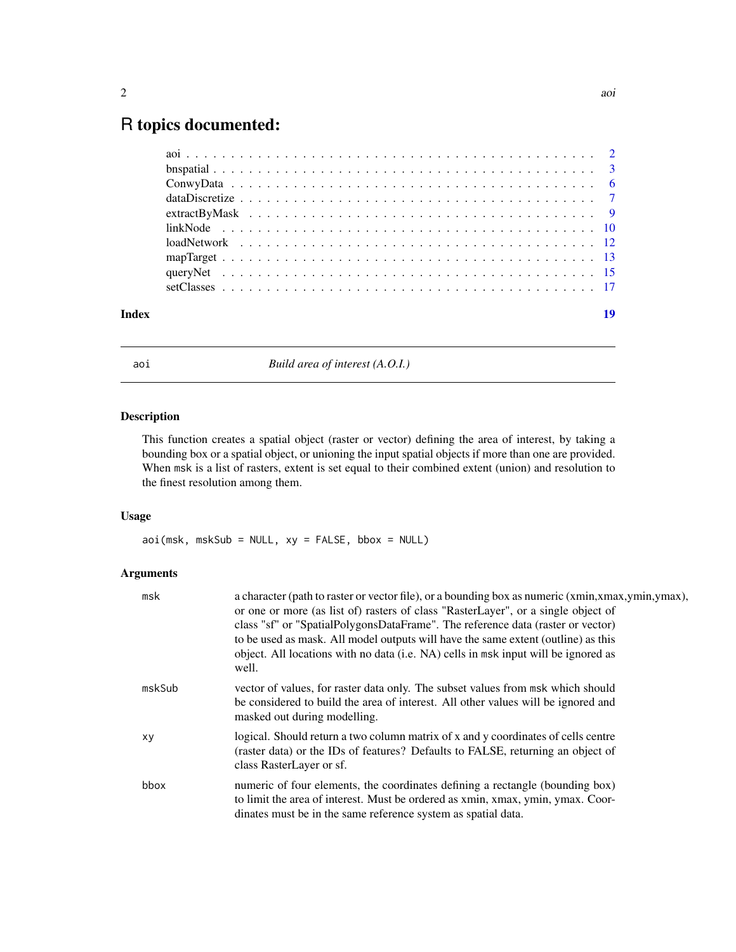### <span id="page-1-0"></span>R topics documented:

| Index | 19 |
|-------|----|
|       |    |
|       |    |
|       |    |
|       |    |
|       |    |
|       |    |
|       |    |
|       |    |
|       |    |
|       |    |

<span id="page-1-1"></span>aoi *Build area of interest (A.O.I.)*

#### Description

This function creates a spatial object (raster or vector) defining the area of interest, by taking a bounding box or a spatial object, or unioning the input spatial objects if more than one are provided. When msk is a list of rasters, extent is set equal to their combined extent (union) and resolution to the finest resolution among them.

#### Usage

aoi(msk, mskSub = NULL, xy = FALSE, bbox = NULL)

| msk    | a character (path to raster or vector file), or a bounding box as numeric (xmin,xmax,ymin,ymax),<br>or one or more (as list of) rasters of class "RasterLayer", or a single object of<br>class "sf" or "SpatialPolygonsDataFrame". The reference data (raster or vector)<br>to be used as mask. All model outputs will have the same extent (outline) as this<br>object. All locations with no data (i.e. NA) cells in msk input will be ignored as<br>well. |
|--------|--------------------------------------------------------------------------------------------------------------------------------------------------------------------------------------------------------------------------------------------------------------------------------------------------------------------------------------------------------------------------------------------------------------------------------------------------------------|
| mskSub | vector of values, for raster data only. The subset values from msk which should<br>be considered to build the area of interest. All other values will be ignored and<br>masked out during modelling.                                                                                                                                                                                                                                                         |
| xy     | logical. Should return a two column matrix of x and y coordinates of cells centre<br>(raster data) or the IDs of features? Defaults to FALSE, returning an object of<br>class RasterLayer or sf.                                                                                                                                                                                                                                                             |
| bbox   | numeric of four elements, the coordinates defining a rectangle (bounding box)<br>to limit the area of interest. Must be ordered as xmin, xmax, ymin, ymax. Coor-<br>dinates must be in the same reference system as spatial data.                                                                                                                                                                                                                            |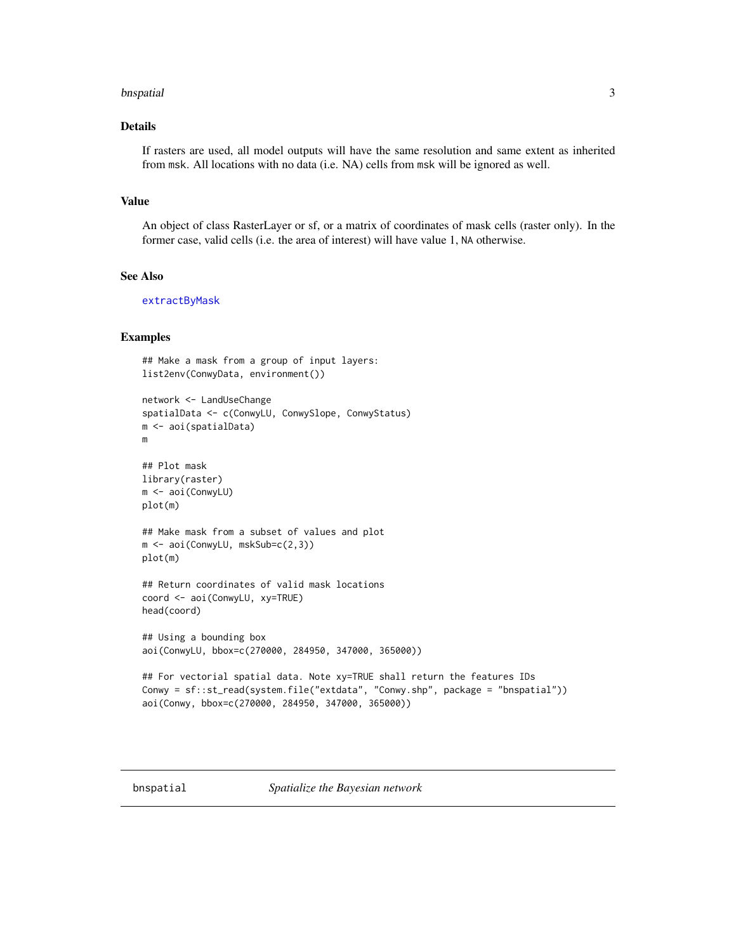#### <span id="page-2-0"></span>bnspatial 3

#### Details

If rasters are used, all model outputs will have the same resolution and same extent as inherited from msk. All locations with no data (i.e. NA) cells from msk will be ignored as well.

#### Value

An object of class RasterLayer or sf, or a matrix of coordinates of mask cells (raster only). In the former case, valid cells (i.e. the area of interest) will have value 1, NA otherwise.

#### See Also

[extractByMask](#page-8-1)

#### Examples

```
## Make a mask from a group of input layers:
list2env(ConwyData, environment())
network <- LandUseChange
spatialData <- c(ConwyLU, ConwySlope, ConwyStatus)
m <- aoi(spatialData)
m
## Plot mask
library(raster)
m <- aoi(ConwyLU)
plot(m)
## Make mask from a subset of values and plot
m <- aoi(ConwyLU, mskSub=c(2,3))
plot(m)
## Return coordinates of valid mask locations
coord <- aoi(ConwyLU, xy=TRUE)
head(coord)
## Using a bounding box
aoi(ConwyLU, bbox=c(270000, 284950, 347000, 365000))
## For vectorial spatial data. Note xy=TRUE shall return the features IDs
Conwy = sf::st_read(system.file("extdata", "Conwy.shp", package = "bnspatial"))
aoi(Conwy, bbox=c(270000, 284950, 347000, 365000))
```
<span id="page-2-1"></span>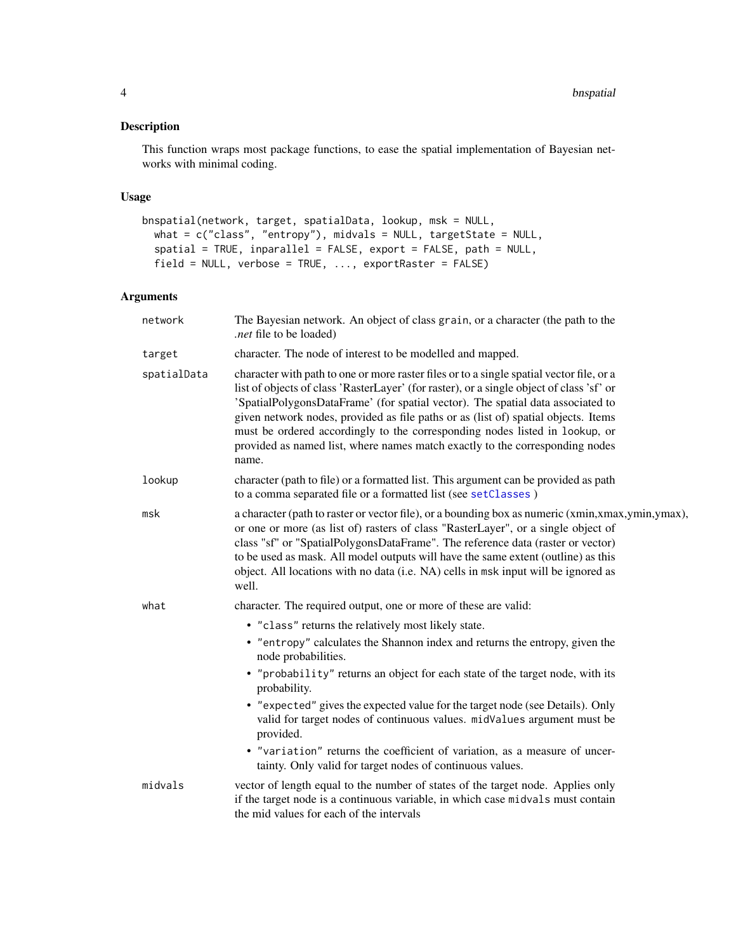#### <span id="page-3-0"></span>Description

This function wraps most package functions, to ease the spatial implementation of Bayesian networks with minimal coding.

#### Usage

```
bnspatial(network, target, spatialData, lookup, msk = NULL,
 what = c("class", "entropy"), midvals = NULL, targetState = NULL,
  spatial = TRUE, inparallel = FALSE, export = FALSE, path = NULL,
 field = NULL, verbose = TRUE, ..., exportRaster = FALSE)
```

| network     | The Bayesian network. An object of class grain, or a character (the path to the<br><i>net</i> file to be loaded).                                                                                                                                                                                                                                                                                                                                                                                                                     |
|-------------|---------------------------------------------------------------------------------------------------------------------------------------------------------------------------------------------------------------------------------------------------------------------------------------------------------------------------------------------------------------------------------------------------------------------------------------------------------------------------------------------------------------------------------------|
| target      | character. The node of interest to be modelled and mapped.                                                                                                                                                                                                                                                                                                                                                                                                                                                                            |
| spatialData | character with path to one or more raster files or to a single spatial vector file, or a<br>list of objects of class 'RasterLayer' (for raster), or a single object of class 'sf' or<br>'SpatialPolygonsDataFrame' (for spatial vector). The spatial data associated to<br>given network nodes, provided as file paths or as (list of) spatial objects. Items<br>must be ordered accordingly to the corresponding nodes listed in lookup, or<br>provided as named list, where names match exactly to the corresponding nodes<br>name. |
| lookup      | character (path to file) or a formatted list. This argument can be provided as path<br>to a comma separated file or a formatted list (see setClasses)                                                                                                                                                                                                                                                                                                                                                                                 |
| msk         | a character (path to raster or vector file), or a bounding box as numeric (xmin,xmax,ymin,ymax),<br>or one or more (as list of) rasters of class "RasterLayer", or a single object of<br>class "sf" or "SpatialPolygonsDataFrame". The reference data (raster or vector)<br>to be used as mask. All model outputs will have the same extent (outline) as this<br>object. All locations with no data (i.e. NA) cells in msk input will be ignored as<br>well.                                                                          |
| what        | character. The required output, one or more of these are valid:                                                                                                                                                                                                                                                                                                                                                                                                                                                                       |
|             | • "class" returns the relatively most likely state.                                                                                                                                                                                                                                                                                                                                                                                                                                                                                   |
|             | • "entropy" calculates the Shannon index and returns the entropy, given the<br>node probabilities.                                                                                                                                                                                                                                                                                                                                                                                                                                    |
|             | • "probability" returns an object for each state of the target node, with its<br>probability.                                                                                                                                                                                                                                                                                                                                                                                                                                         |
|             | • "expected" gives the expected value for the target node (see Details). Only<br>valid for target nodes of continuous values. midValues argument must be<br>provided.                                                                                                                                                                                                                                                                                                                                                                 |
|             | • "variation" returns the coefficient of variation, as a measure of uncer-<br>tainty. Only valid for target nodes of continuous values.                                                                                                                                                                                                                                                                                                                                                                                               |
| midvals     | vector of length equal to the number of states of the target node. Applies only<br>if the target node is a continuous variable, in which case midvals must contain<br>the mid values for each of the intervals                                                                                                                                                                                                                                                                                                                        |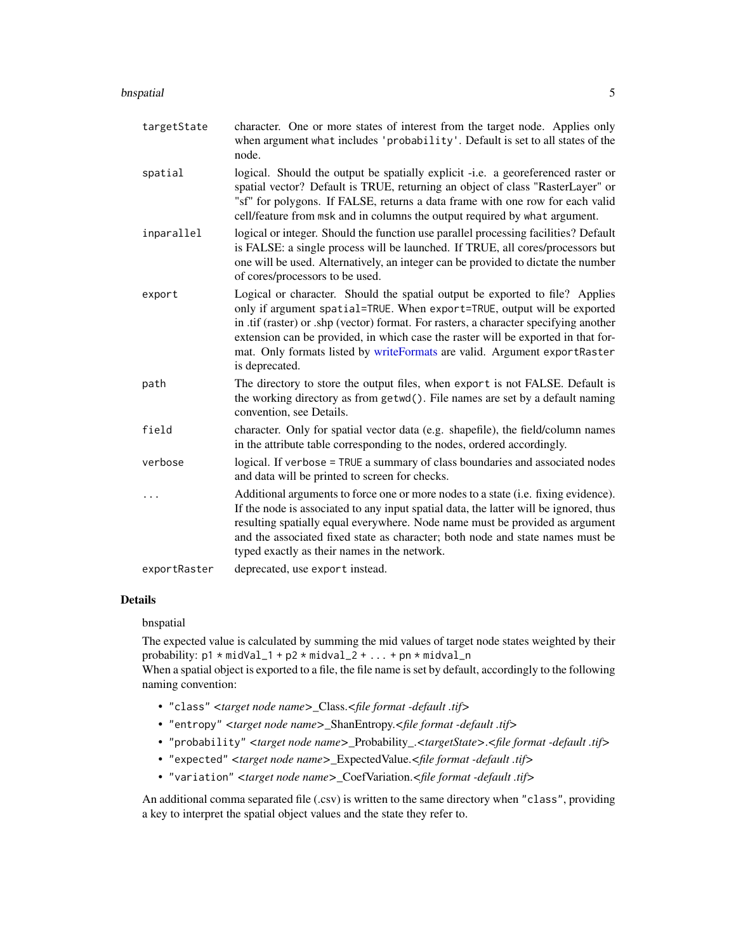#### <span id="page-4-0"></span>bnspatial 55 to 55 to 55 to 55 to 55 to 55 to 55 to 55 to 55 to 55 to 55 to 55 to 55 to 55 to 55 to 55 to 55 to 55 to 55 to 55 to 55 to 55 to 55 to 55 to 55 to 55 to 55 to 55 to 55 to 55 to 55 to 55 to 55 to 55 to 55 to 55

| targetState  | character. One or more states of interest from the target node. Applies only<br>when argument what includes 'probability'. Default is set to all states of the<br>node.                                                                                                                                                                                                                                                               |
|--------------|---------------------------------------------------------------------------------------------------------------------------------------------------------------------------------------------------------------------------------------------------------------------------------------------------------------------------------------------------------------------------------------------------------------------------------------|
| spatial      | logical. Should the output be spatially explicit -i.e. a georeferenced raster or<br>spatial vector? Default is TRUE, returning an object of class "RasterLayer" or<br>"sf" for polygons. If FALSE, returns a data frame with one row for each valid<br>cell/feature from msk and in columns the output required by what argument.                                                                                                     |
| inparallel   | logical or integer. Should the function use parallel processing facilities? Default<br>is FALSE: a single process will be launched. If TRUE, all cores/processors but<br>one will be used. Alternatively, an integer can be provided to dictate the number<br>of cores/processors to be used.                                                                                                                                         |
| export       | Logical or character. Should the spatial output be exported to file? Applies<br>only if argument spatial=TRUE. When export=TRUE, output will be exported<br>in .tif (raster) or .shp (vector) format. For rasters, a character specifying another<br>extension can be provided, in which case the raster will be exported in that for-<br>mat. Only formats listed by writeFormats are valid. Argument exportRaster<br>is deprecated. |
| path         | The directory to store the output files, when export is not FALSE. Default is<br>the working directory as from getwd(). File names are set by a default naming<br>convention, see Details.                                                                                                                                                                                                                                            |
| field        | character. Only for spatial vector data (e.g. shapefile), the field/column names<br>in the attribute table corresponding to the nodes, ordered accordingly.                                                                                                                                                                                                                                                                           |
| verbose      | logical. If verbose = TRUE a summary of class boundaries and associated nodes<br>and data will be printed to screen for checks.                                                                                                                                                                                                                                                                                                       |
|              | Additional arguments to force one or more nodes to a state (i.e. fixing evidence).<br>If the node is associated to any input spatial data, the latter will be ignored, thus<br>resulting spatially equal everywhere. Node name must be provided as argument<br>and the associated fixed state as character; both node and state names must be<br>typed exactly as their names in the network.                                         |
| exportRaster | deprecated, use export instead.                                                                                                                                                                                                                                                                                                                                                                                                       |

#### Details

bnspatial

The expected value is calculated by summing the mid values of target node states weighted by their probability:  $p1 * midVal_1 + p2 * midval_2 + ... + pn * midval_n$ 

When a spatial object is exported to a file, the file name is set by default, accordingly to the following naming convention:

- "class" *<target node name>*\_Class.*<file format -default .tif>*
- "entropy" *<target node name>*\_ShanEntropy.*<file format -default .tif>*
- "probability" *<target node name>*\_Probability\_.*<targetState>*.*<file format -default .tif>*
- "expected" *<target node name>*\_ExpectedValue.*<file format -default .tif>*
- "variation" *<target node name>*\_CoefVariation.*<file format -default .tif>*

An additional comma separated file (.csv) is written to the same directory when "class", providing a key to interpret the spatial object values and the state they refer to.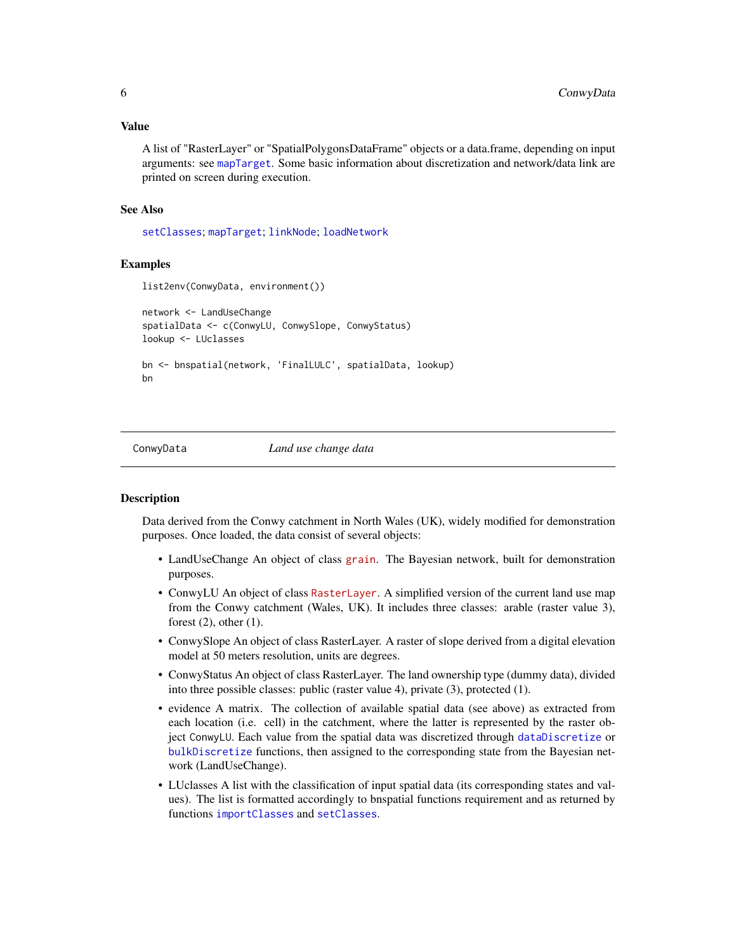<span id="page-5-0"></span>A list of "RasterLayer" or "SpatialPolygonsDataFrame" objects or a data.frame, depending on input arguments: see [mapTarget](#page-12-1). Some basic information about discretization and network/data link are printed on screen during execution.

#### See Also

[setClasses](#page-16-1); [mapTarget](#page-12-1); [linkNode](#page-9-1); [loadNetwork](#page-11-1)

#### Examples

```
list2env(ConwyData, environment())
network <- LandUseChange
spatialData <- c(ConwyLU, ConwySlope, ConwyStatus)
lookup <- LUclasses
bn <- bnspatial(network, 'FinalLULC', spatialData, lookup)
bn
```
ConwyData *Land use change data*

#### **Description**

Data derived from the Conwy catchment in North Wales (UK), widely modified for demonstration purposes. Once loaded, the data consist of several objects:

- LandUseChange An object of class [grain](https://cran.r-project.org/package=gRain). The Bayesian network, built for demonstration purposes.
- ConwyLU An object of class [RasterLayer](https://cran.r-project.org/package=raster). A simplified version of the current land use map from the Conwy catchment (Wales, UK). It includes three classes: arable (raster value 3), forest (2), other (1).
- ConwySlope An object of class RasterLayer. A raster of slope derived from a digital elevation model at 50 meters resolution, units are degrees.
- ConwyStatus An object of class RasterLayer. The land ownership type (dummy data), divided into three possible classes: public (raster value 4), private (3), protected (1).
- evidence A matrix. The collection of available spatial data (see above) as extracted from each location (i.e. cell) in the catchment, where the latter is represented by the raster object ConwyLU. Each value from the spatial data was discretized through [dataDiscretize](#page-6-1) or [bulkDiscretize](#page-6-2) functions, then assigned to the corresponding state from the Bayesian network (LandUseChange).
- LUclasses A list with the classification of input spatial data (its corresponding states and values). The list is formatted accordingly to bnspatial functions requirement and as returned by functions [importClasses](#page-16-2) and [setClasses](#page-16-1).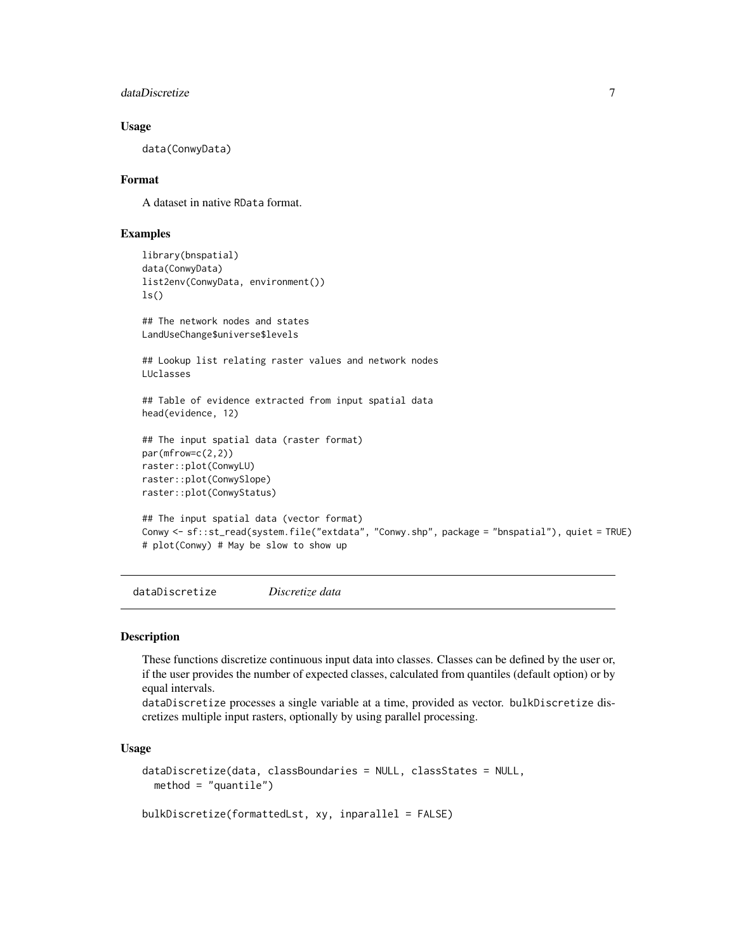```
dataDiscretize 7
```
#### Usage

data(ConwyData)

#### Format

A dataset in native RData format.

#### Examples

```
library(bnspatial)
data(ConwyData)
list2env(ConwyData, environment())
ls()## The network nodes and states
LandUseChange$universe$levels
## Lookup list relating raster values and network nodes
LUclasses
## Table of evidence extracted from input spatial data
head(evidence, 12)
## The input spatial data (raster format)
par(mfrow=c(2,2))
raster::plot(ConwyLU)
raster::plot(ConwySlope)
raster::plot(ConwyStatus)
## The input spatial data (vector format)
Conwy <- sf::st_read(system.file("extdata", "Conwy.shp", package = "bnspatial"), quiet = TRUE)
# plot(Conwy) # May be slow to show up
```
<span id="page-6-1"></span>dataDiscretize *Discretize data*

#### <span id="page-6-2"></span>Description

These functions discretize continuous input data into classes. Classes can be defined by the user or, if the user provides the number of expected classes, calculated from quantiles (default option) or by equal intervals.

dataDiscretize processes a single variable at a time, provided as vector. bulkDiscretize discretizes multiple input rasters, optionally by using parallel processing.

#### Usage

```
dataDiscretize(data, classBoundaries = NULL, classStates = NULL,
 method = "quantile")
```
bulkDiscretize(formattedLst, xy, inparallel = FALSE)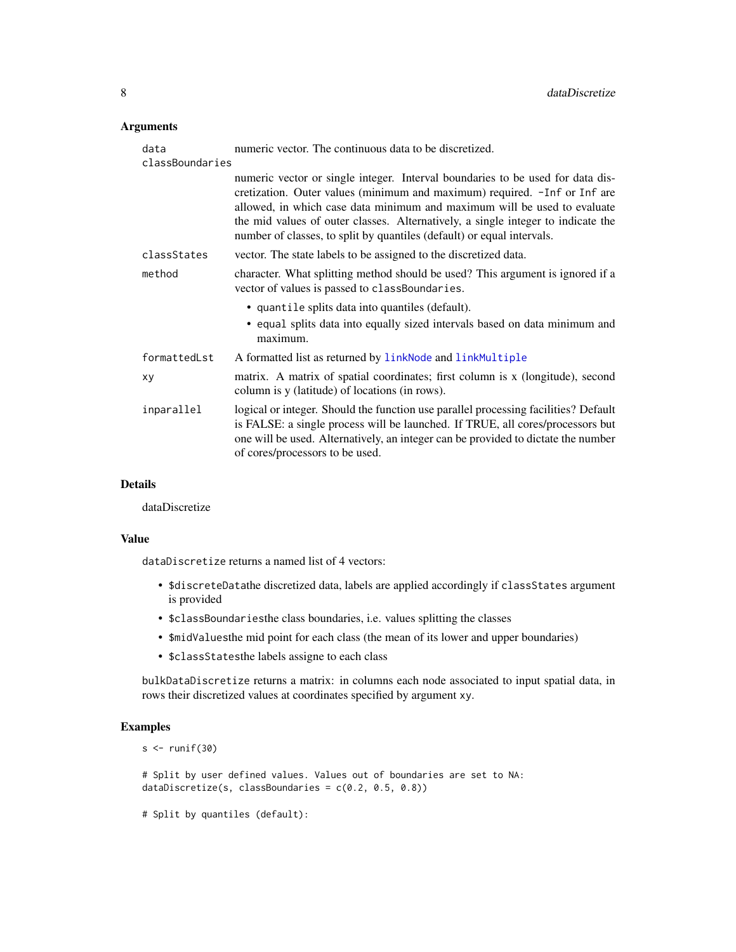#### <span id="page-7-0"></span>Arguments

| data<br>classBoundaries | numeric vector. The continuous data to be discretized.                                                                                                                                                                                                                                                                                                                                                 |
|-------------------------|--------------------------------------------------------------------------------------------------------------------------------------------------------------------------------------------------------------------------------------------------------------------------------------------------------------------------------------------------------------------------------------------------------|
|                         | numeric vector or single integer. Interval boundaries to be used for data dis-<br>cretization. Outer values (minimum and maximum) required. - Inf or Inf are<br>allowed, in which case data minimum and maximum will be used to evaluate<br>the mid values of outer classes. Alternatively, a single integer to indicate the<br>number of classes, to split by quantiles (default) or equal intervals. |
| classStates             | vector. The state labels to be assigned to the discretized data.                                                                                                                                                                                                                                                                                                                                       |
| method                  | character. What splitting method should be used? This argument is ignored if a<br>vector of values is passed to classBoundaries.                                                                                                                                                                                                                                                                       |
|                         | • quantile splits data into quantiles (default).                                                                                                                                                                                                                                                                                                                                                       |
|                         | • equal splits data into equally sized intervals based on data minimum and<br>maximum.                                                                                                                                                                                                                                                                                                                 |
| formattedLst            | A formatted list as returned by linkNode and linkMultiple                                                                                                                                                                                                                                                                                                                                              |
| xy                      | matrix. A matrix of spatial coordinates; first column is x (longitude), second<br>column is y (latitude) of locations (in rows).                                                                                                                                                                                                                                                                       |
| inparallel              | logical or integer. Should the function use parallel processing facilities? Default<br>is FALSE: a single process will be launched. If TRUE, all cores/processors but<br>one will be used. Alternatively, an integer can be provided to dictate the number<br>of cores/processors to be used.                                                                                                          |

#### Details

dataDiscretize

#### Value

dataDiscretize returns a named list of 4 vectors:

- \$discreteDatathe discretized data, labels are applied accordingly if classStates argument is provided
- \$classBoundariesthe class boundaries, i.e. values splitting the classes
- \$midValuesthe mid point for each class (the mean of its lower and upper boundaries)
- \$classStatesthe labels assigne to each class

bulkDataDiscretize returns a matrix: in columns each node associated to input spatial data, in rows their discretized values at coordinates specified by argument xy.

#### Examples

 $s < -runif(30)$ 

# Split by user defined values. Values out of boundaries are set to NA: dataDiscretize(s, classBoundaries = c(0.2, 0.5, 0.8))

# Split by quantiles (default):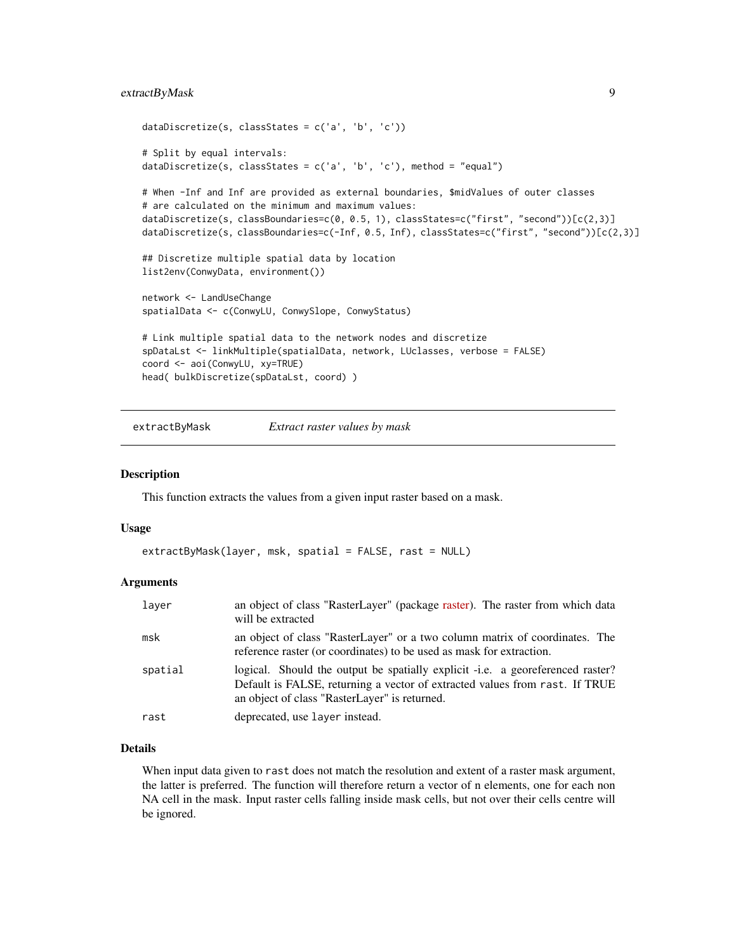#### <span id="page-8-0"></span>extractByMask 9

```
dataDiscretize(s, classStates = c('a', 'b', 'c'))
# Split by equal intervals:
dataDiscretize(s, classStates = c('a', 'b', 'c'), method = "equal")
# When -Inf and Inf are provided as external boundaries, $midValues of outer classes
# are calculated on the minimum and maximum values:
dataDiscretize(s, classBoundaries=c(0, 0.5, 1), classStates=c("first", "second"))[c(2,3)]
dataDiscretize(s, classBoundaries=c(-Inf, 0.5, Inf), classStates=c("first", "second"))[c(2,3)]
## Discretize multiple spatial data by location
list2env(ConwyData, environment())
network <- LandUseChange
spatialData <- c(ConwyLU, ConwySlope, ConwyStatus)
# Link multiple spatial data to the network nodes and discretize
spDataLst <- linkMultiple(spatialData, network, LUclasses, verbose = FALSE)
coord <- aoi(ConwyLU, xy=TRUE)
head( bulkDiscretize(spDataLst, coord) )
```
<span id="page-8-1"></span>extractByMask *Extract raster values by mask*

#### Description

This function extracts the values from a given input raster based on a mask.

#### Usage

```
extractByMask(layer, msk, spatial = FALSE, rast = NULL)
```
#### **Arguments**

| laver   | an object of class "RasterLayer" (package raster). The raster from which data<br>will be extracted                                                                                                             |
|---------|----------------------------------------------------------------------------------------------------------------------------------------------------------------------------------------------------------------|
| msk     | an object of class "RasterLayer" or a two column matrix of coordinates. The<br>reference raster (or coordinates) to be used as mask for extraction.                                                            |
| spatial | logical. Should the output be spatially explicit -i.e. a georeferenced raster?<br>Default is FALSE, returning a vector of extracted values from rast. If TRUE<br>an object of class "RasterLayer" is returned. |
| rast    | deprecated, use layer instead.                                                                                                                                                                                 |

#### Details

When input data given to rast does not match the resolution and extent of a raster mask argument, the latter is preferred. The function will therefore return a vector of n elements, one for each non NA cell in the mask. Input raster cells falling inside mask cells, but not over their cells centre will be ignored.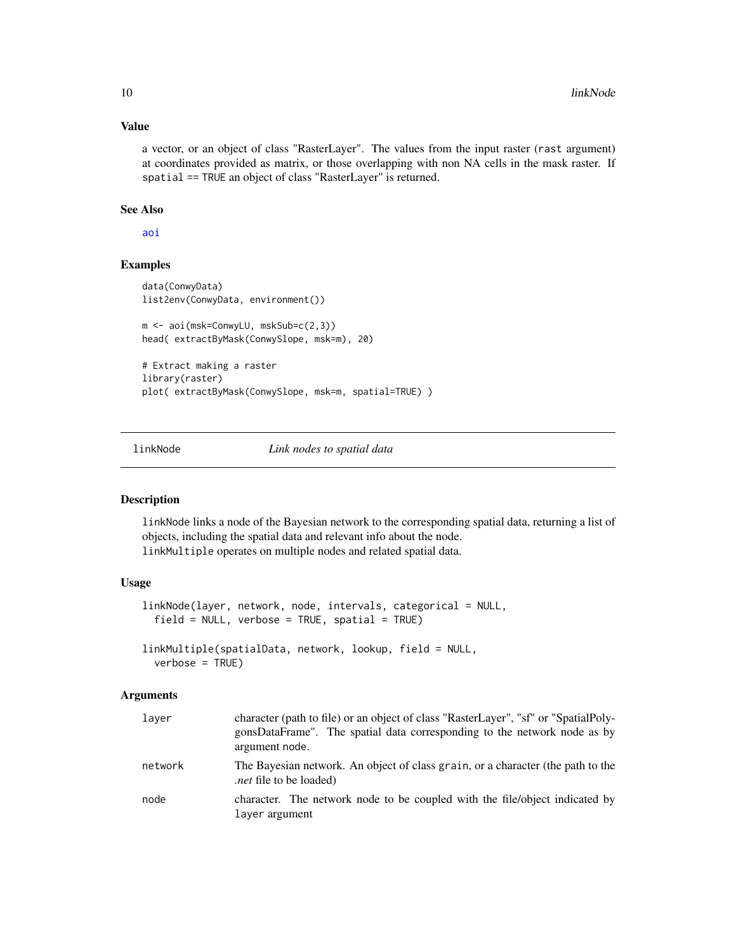#### Value

a vector, or an object of class "RasterLayer". The values from the input raster (rast argument) at coordinates provided as matrix, or those overlapping with non NA cells in the mask raster. If spatial == TRUE an object of class "RasterLayer" is returned.

#### See Also

[aoi](#page-1-1)

#### Examples

```
data(ConwyData)
list2env(ConwyData, environment())
m <- aoi(msk=ConwyLU, mskSub=c(2,3))
head( extractByMask(ConwySlope, msk=m), 20)
# Extract making a raster
library(raster)
plot( extractByMask(ConwySlope, msk=m, spatial=TRUE) )
```
<span id="page-9-1"></span>linkNode *Link nodes to spatial data*

#### <span id="page-9-2"></span>Description

linkNode links a node of the Bayesian network to the corresponding spatial data, returning a list of objects, including the spatial data and relevant info about the node. linkMultiple operates on multiple nodes and related spatial data.

#### Usage

```
linkNode(layer, network, node, intervals, categorical = NULL,
 field = NULL, verbose = TRUE, spatial = TRUE)
linkMultiple(spatialData, network, lookup, field = NULL,
```

```
verbose = TRUE)
```

| laver   | character (path to file) or an object of class "RasterLayer", "sf" or "SpatialPoly-<br>gonsDataFrame". The spatial data corresponding to the network node as by<br>argument node. |
|---------|-----------------------------------------------------------------------------------------------------------------------------------------------------------------------------------|
| network | The Bayesian network. An object of class grain, or a character (the path to the<br><i>net</i> file to be loaded).                                                                 |
| node    | character. The network node to be coupled with the file/object indicated by<br>layer argument                                                                                     |

<span id="page-9-0"></span>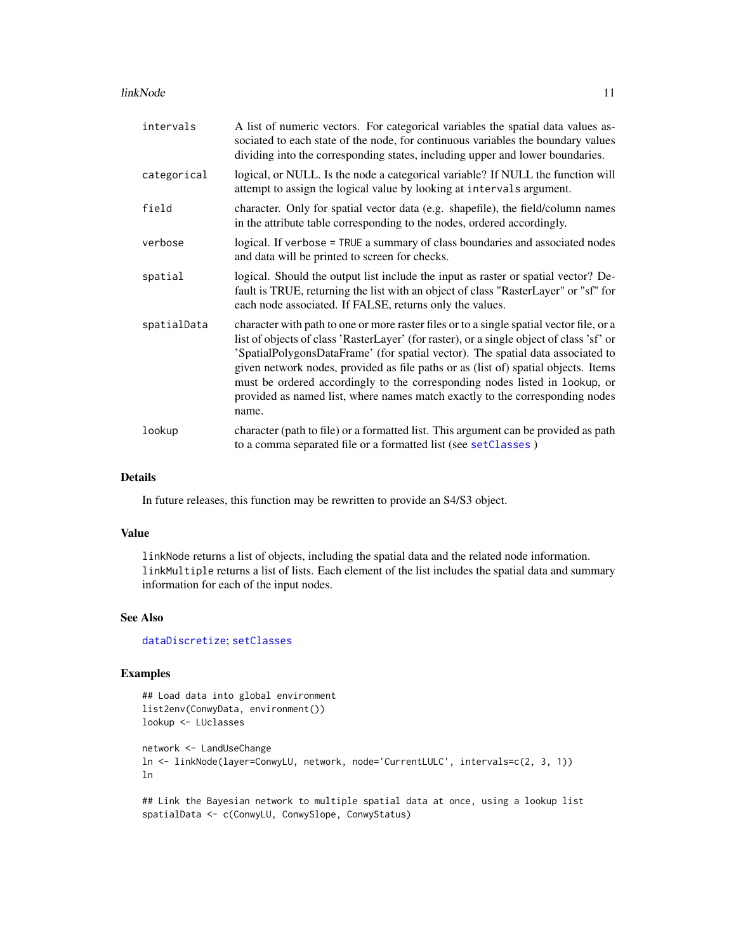#### <span id="page-10-0"></span>linkNode 11

| intervals   | A list of numeric vectors. For categorical variables the spatial data values as-<br>sociated to each state of the node, for continuous variables the boundary values<br>dividing into the corresponding states, including upper and lower boundaries.                                                                                                                                                                                                                                                                                 |
|-------------|---------------------------------------------------------------------------------------------------------------------------------------------------------------------------------------------------------------------------------------------------------------------------------------------------------------------------------------------------------------------------------------------------------------------------------------------------------------------------------------------------------------------------------------|
| categorical | logical, or NULL. Is the node a categorical variable? If NULL the function will<br>attempt to assign the logical value by looking at intervals argument.                                                                                                                                                                                                                                                                                                                                                                              |
| field       | character. Only for spatial vector data (e.g. shapefile), the field/column names<br>in the attribute table corresponding to the nodes, ordered accordingly.                                                                                                                                                                                                                                                                                                                                                                           |
| verbose     | logical. If verbose = TRUE a summary of class boundaries and associated nodes<br>and data will be printed to screen for checks.                                                                                                                                                                                                                                                                                                                                                                                                       |
| spatial     | logical. Should the output list include the input as raster or spatial vector? De-<br>fault is TRUE, returning the list with an object of class "RasterLayer" or "sf" for<br>each node associated. If FALSE, returns only the values.                                                                                                                                                                                                                                                                                                 |
| spatialData | character with path to one or more raster files or to a single spatial vector file, or a<br>list of objects of class 'RasterLayer' (for raster), or a single object of class 'sf' or<br>'SpatialPolygonsDataFrame' (for spatial vector). The spatial data associated to<br>given network nodes, provided as file paths or as (list of) spatial objects. Items<br>must be ordered accordingly to the corresponding nodes listed in lookup, or<br>provided as named list, where names match exactly to the corresponding nodes<br>name. |
| lookup      | character (path to file) or a formatted list. This argument can be provided as path<br>to a comma separated file or a formatted list (see setClasses)                                                                                                                                                                                                                                                                                                                                                                                 |

#### Details

In future releases, this function may be rewritten to provide an S4/S3 object.

#### Value

linkNode returns a list of objects, including the spatial data and the related node information. linkMultiple returns a list of lists. Each element of the list includes the spatial data and summary information for each of the input nodes.

#### See Also

[dataDiscretize](#page-6-1); [setClasses](#page-16-1)

#### Examples

## Load data into global environment list2env(ConwyData, environment()) lookup <- LUclasses

```
network <- LandUseChange
ln <- linkNode(layer=ConwyLU, network, node='CurrentLULC', intervals=c(2, 3, 1))
ln
```
## Link the Bayesian network to multiple spatial data at once, using a lookup list spatialData <- c(ConwyLU, ConwySlope, ConwyStatus)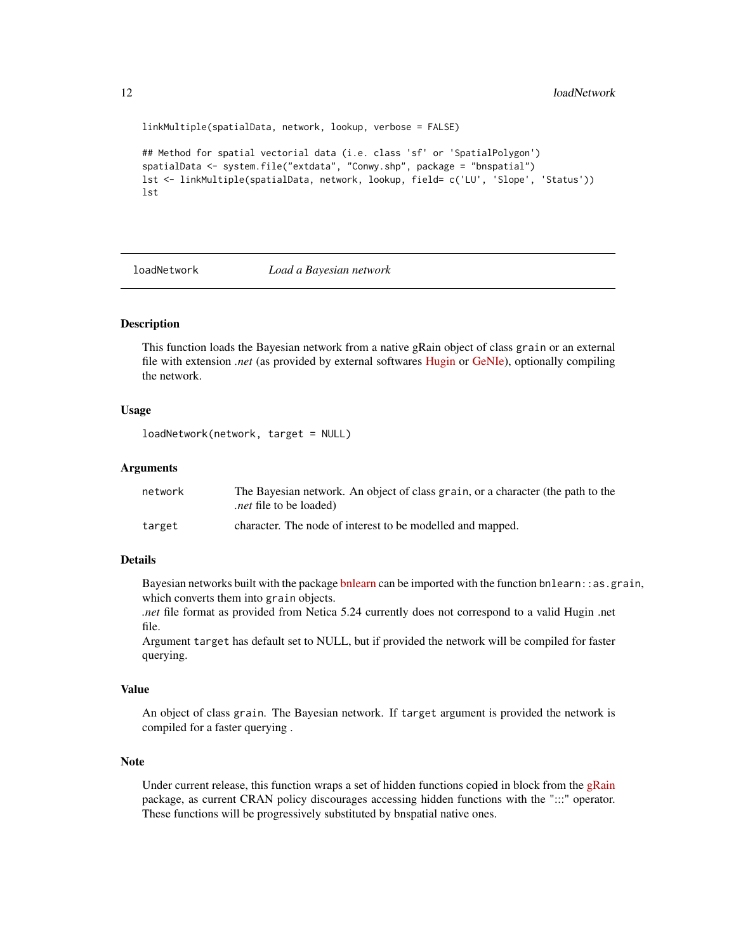```
linkMultiple(spatialData, network, lookup, verbose = FALSE)
## Method for spatial vectorial data (i.e. class 'sf' or 'SpatialPolygon')
spatialData <- system.file("extdata", "Conwy.shp", package = "bnspatial")
lst <- linkMultiple(spatialData, network, lookup, field= c('LU', 'Slope', 'Status'))
lst
```
#### <span id="page-11-1"></span>loadNetwork *Load a Bayesian network*

#### **Description**

This function loads the Bayesian network from a native gRain object of class grain or an external file with extension *.net* (as provided by external softwares [Hugin](http://www.hugin.com/) or [GeNIe\)](http://www.bayesfusion.com/), optionally compiling the network.

#### Usage

```
loadNetwork(network, target = NULL)
```
#### **Arguments**

| network | The Bayesian network. An object of class grain, or a character (the path to the<br><i>net</i> file to be loaded). |
|---------|-------------------------------------------------------------------------------------------------------------------|
| target  | character. The node of interest to be modelled and mapped.                                                        |

#### Details

Bayesian networks built with the package [bnlearn](https://cran.r-project.org/package=bnlearn) can be imported with the function bnlearn: : as grain, which converts them into grain objects.

*.net* file format as provided from Netica 5.24 currently does not correspond to a valid Hugin .net file.

Argument target has default set to NULL, but if provided the network will be compiled for faster querying.

#### Value

An object of class grain. The Bayesian network. If target argument is provided the network is compiled for a faster querying .

#### **Note**

Under current release, this function wraps a set of hidden functions copied in block from the [gRain](https://cran.r-project.org/package=gRain) package, as current CRAN policy discourages accessing hidden functions with the ":::" operator. These functions will be progressively substituted by bnspatial native ones.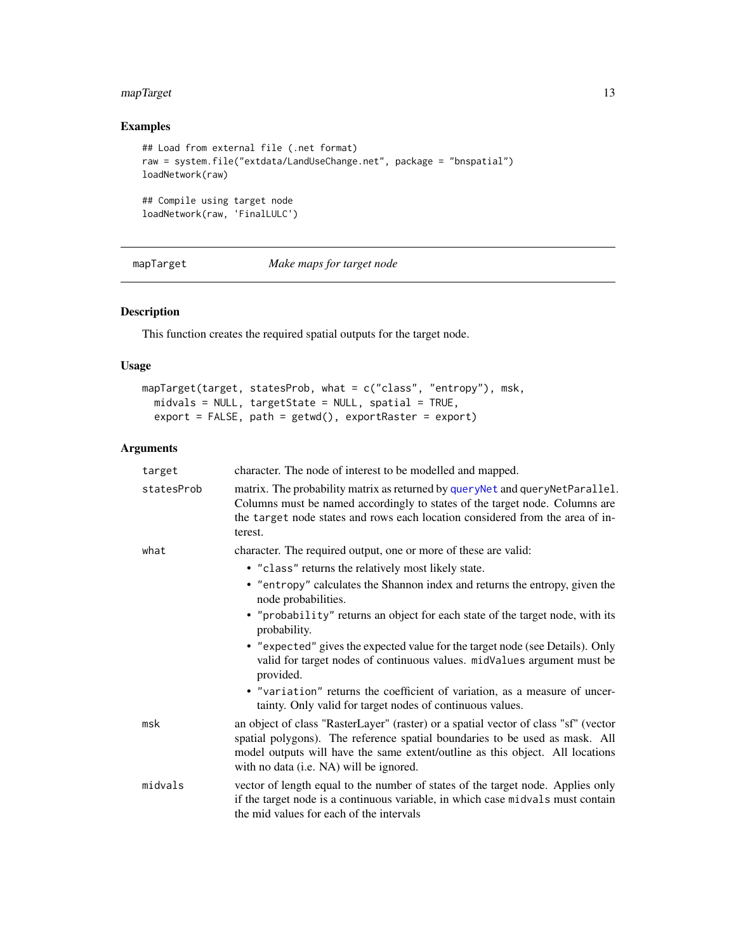#### <span id="page-12-0"></span>mapTarget 13

#### Examples

```
## Load from external file (.net format)
raw = system.file("extdata/LandUseChange.net", package = "bnspatial")
loadNetwork(raw)
## Compile using target node
loadNetwork(raw, 'FinalLULC')
```
<span id="page-12-1"></span>mapTarget *Make maps for target node*

#### Description

This function creates the required spatial outputs for the target node.

#### Usage

```
mapTarget(target, statesProb, what = c("class", "entropy"), msk,
 midvals = NULL, targetState = NULL, spatial = TRUE,
 export = FALSE, path = getwd(), exportRaster = export)
```

| target     | character. The node of interest to be modelled and mapped.                                                                                                                                                                                                                                     |
|------------|------------------------------------------------------------------------------------------------------------------------------------------------------------------------------------------------------------------------------------------------------------------------------------------------|
| statesProb | matrix. The probability matrix as returned by queryNet and queryNetParallel.<br>Columns must be named accordingly to states of the target node. Columns are<br>the target node states and rows each location considered from the area of in-<br>terest.                                        |
| what       | character. The required output, one or more of these are valid:                                                                                                                                                                                                                                |
|            | • "class" returns the relatively most likely state.                                                                                                                                                                                                                                            |
|            | • "entropy" calculates the Shannon index and returns the entropy, given the<br>node probabilities.                                                                                                                                                                                             |
|            | • "probability" returns an object for each state of the target node, with its<br>probability.                                                                                                                                                                                                  |
|            | • "expected" gives the expected value for the target node (see Details). Only<br>valid for target nodes of continuous values. midValues argument must be<br>provided.                                                                                                                          |
|            | • "variation" returns the coefficient of variation, as a measure of uncer-<br>tainty. Only valid for target nodes of continuous values.                                                                                                                                                        |
| msk        | an object of class "RasterLayer" (raster) or a spatial vector of class "sf" (vector<br>spatial polygons). The reference spatial boundaries to be used as mask. All<br>model outputs will have the same extent/outline as this object. All locations<br>with no data (i.e. NA) will be ignored. |
| midvals    | vector of length equal to the number of states of the target node. Applies only<br>if the target node is a continuous variable, in which case midvals must contain<br>the mid values for each of the intervals                                                                                 |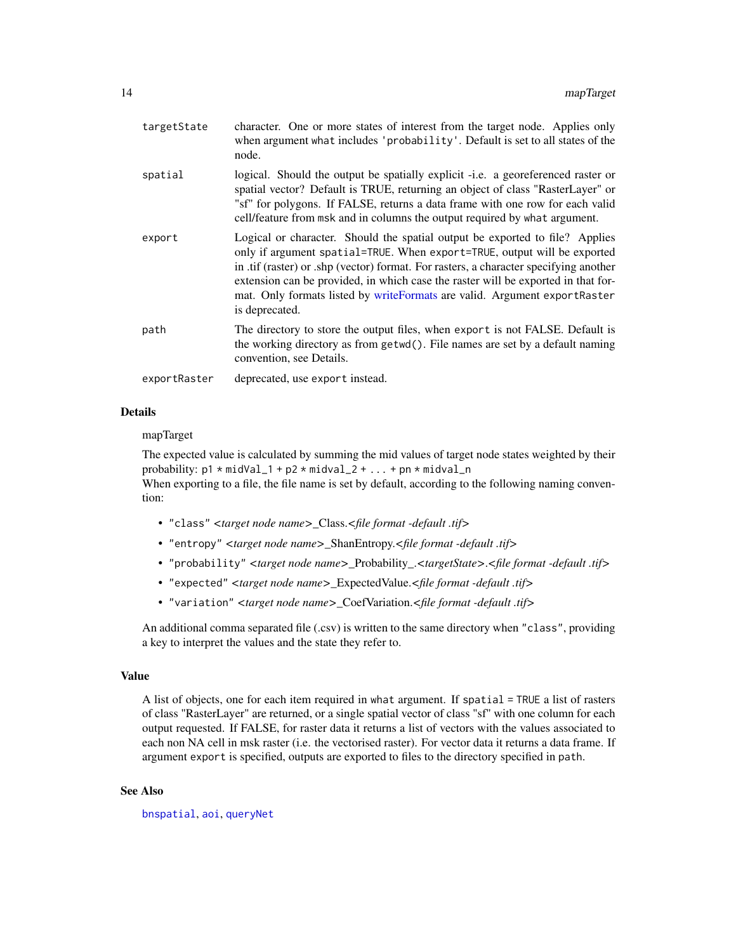<span id="page-13-0"></span>

| targetState  | character. One or more states of interest from the target node. Applies only<br>when argument what includes 'probability'. Default is set to all states of the<br>node.                                                                                                                                                                                                                                                               |
|--------------|---------------------------------------------------------------------------------------------------------------------------------------------------------------------------------------------------------------------------------------------------------------------------------------------------------------------------------------------------------------------------------------------------------------------------------------|
| spatial      | logical. Should the output be spatially explicit -i.e. a georeferenced raster or<br>spatial vector? Default is TRUE, returning an object of class "RasterLayer" or<br>"sf" for polygons. If FALSE, returns a data frame with one row for each valid<br>cell/feature from msk and in columns the output required by what argument.                                                                                                     |
| export       | Logical or character. Should the spatial output be exported to file? Applies<br>only if argument spatial=TRUE. When export=TRUE, output will be exported<br>in .tif (raster) or .shp (vector) format. For rasters, a character specifying another<br>extension can be provided, in which case the raster will be exported in that for-<br>mat. Only formats listed by writeFormats are valid. Argument exportRaster<br>is deprecated. |
| path         | The directory to store the output files, when export is not FALSE. Default is<br>the working directory as from getwd(). File names are set by a default naming<br>convention, see Details.                                                                                                                                                                                                                                            |
| exportRaster | deprecated, use export instead.                                                                                                                                                                                                                                                                                                                                                                                                       |

#### Details

#### mapTarget

The expected value is calculated by summing the mid values of target node states weighted by their probability: p1 \* midVal\_1 + p2 \* midval\_2 + ... + pn \* midval\_n When exporting to a file, the file name is set by default, according to the following naming convention:

- "class" *<target node name>*\_Class.*<file format -default .tif>*
- "entropy" *<target node name>*\_ShanEntropy.*<file format -default .tif>*
- "probability" *<target node name>*\_Probability\_.*<targetState>*.*<file format -default .tif>*
- "expected" *<target node name>*\_ExpectedValue.*<file format -default .tif>*
- "variation" *<target node name>*\_CoefVariation.*<file format -default .tif>*

An additional comma separated file (.csv) is written to the same directory when "class", providing a key to interpret the values and the state they refer to.

#### Value

A list of objects, one for each item required in what argument. If spatial = TRUE a list of rasters of class "RasterLayer" are returned, or a single spatial vector of class "sf" with one column for each output requested. If FALSE, for raster data it returns a list of vectors with the values associated to each non NA cell in msk raster (i.e. the vectorised raster). For vector data it returns a data frame. If argument export is specified, outputs are exported to files to the directory specified in path.

#### See Also

[bnspatial](#page-2-1), [aoi](#page-1-1), [queryNet](#page-14-1)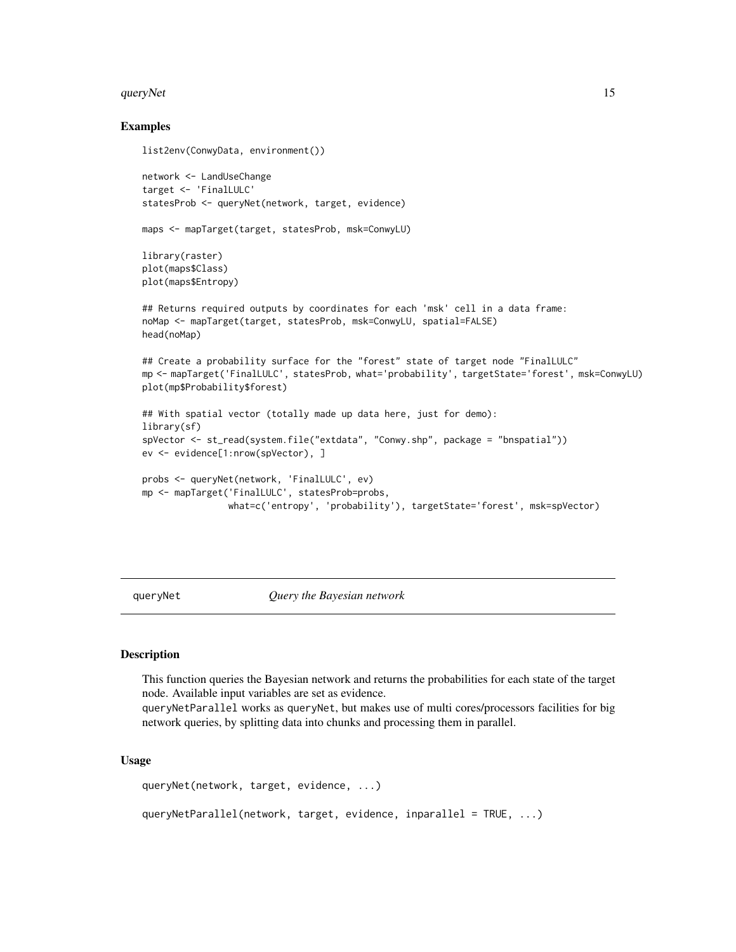#### <span id="page-14-0"></span>queryNet 15

#### Examples

```
list2env(ConwyData, environment())
network <- LandUseChange
target <- 'FinalLULC'
statesProb <- queryNet(network, target, evidence)
maps <- mapTarget(target, statesProb, msk=ConwyLU)
library(raster)
plot(maps$Class)
plot(maps$Entropy)
## Returns required outputs by coordinates for each 'msk' cell in a data frame:
noMap <- mapTarget(target, statesProb, msk=ConwyLU, spatial=FALSE)
head(noMap)
## Create a probability surface for the "forest" state of target node "FinalLULC"
mp <- mapTarget('FinalLULC', statesProb, what='probability', targetState='forest', msk=ConwyLU)
plot(mp$Probability$forest)
## With spatial vector (totally made up data here, just for demo):
library(sf)
spVector <- st_read(system.file("extdata", "Conwy.shp", package = "bnspatial"))
ev <- evidence[1:nrow(spVector), ]
probs <- queryNet(network, 'FinalLULC', ev)
mp <- mapTarget('FinalLULC', statesProb=probs,
                what=c('entropy', 'probability'), targetState='forest', msk=spVector)
```
<span id="page-14-1"></span>queryNet *Query the Bayesian network*

#### **Description**

This function queries the Bayesian network and returns the probabilities for each state of the target node. Available input variables are set as evidence.

queryNetParallel works as queryNet, but makes use of multi cores/processors facilities for big network queries, by splitting data into chunks and processing them in parallel.

#### Usage

```
queryNet(network, target, evidence, ...)
queryNetParallel(network, target, evidence, inparallel = TRUE, ...)
```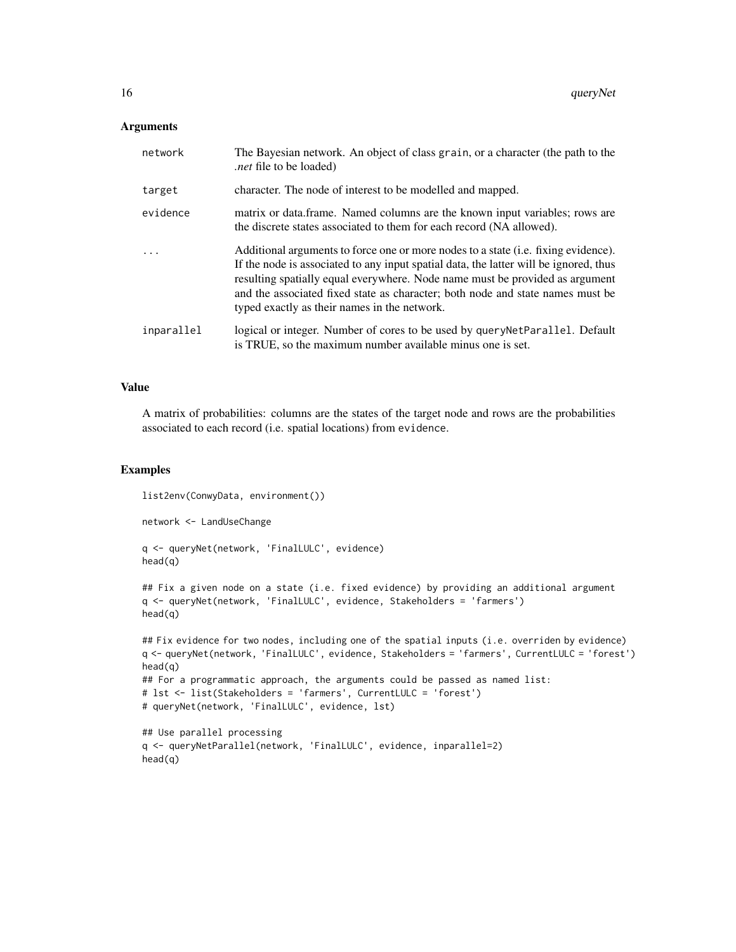#### **Arguments**

| network    | The Bayesian network. An object of class grain, or a character (the path to the<br><i>net</i> file to be loaded).                                                                                                                                                                                                                                                                                     |
|------------|-------------------------------------------------------------------------------------------------------------------------------------------------------------------------------------------------------------------------------------------------------------------------------------------------------------------------------------------------------------------------------------------------------|
| target     | character. The node of interest to be modelled and mapped.                                                                                                                                                                                                                                                                                                                                            |
| evidence   | matrix or data.frame. Named columns are the known input variables; rows are<br>the discrete states associated to them for each record (NA allowed).                                                                                                                                                                                                                                                   |
| $\ddotsc$  | Additional arguments to force one or more nodes to a state ( <i>i.e.</i> fixing evidence).<br>If the node is associated to any input spatial data, the latter will be ignored, thus<br>resulting spatially equal everywhere. Node name must be provided as argument<br>and the associated fixed state as character; both node and state names must be<br>typed exactly as their names in the network. |
| inparallel | logical or integer. Number of cores to be used by query Net Parallel. Default<br>is TRUE, so the maximum number available minus one is set.                                                                                                                                                                                                                                                           |

#### Value

A matrix of probabilities: columns are the states of the target node and rows are the probabilities associated to each record (i.e. spatial locations) from evidence.

#### Examples

list2env(ConwyData, environment()) network <- LandUseChange q <- queryNet(network, 'FinalLULC', evidence) head(q) ## Fix a given node on a state (i.e. fixed evidence) by providing an additional argument q <- queryNet(network, 'FinalLULC', evidence, Stakeholders = 'farmers') head(q) ## Fix evidence for two nodes, including one of the spatial inputs (i.e. overriden by evidence) q <- queryNet(network, 'FinalLULC', evidence, Stakeholders = 'farmers', CurrentLULC = 'forest') head(q)

```
## For a programmatic approach, the arguments could be passed as named list:
# lst <- list(Stakeholders = 'farmers', CurrentLULC = 'forest')
# queryNet(network, 'FinalLULC', evidence, lst)
```

```
## Use parallel processing
q <- queryNetParallel(network, 'FinalLULC', evidence, inparallel=2)
head(q)
```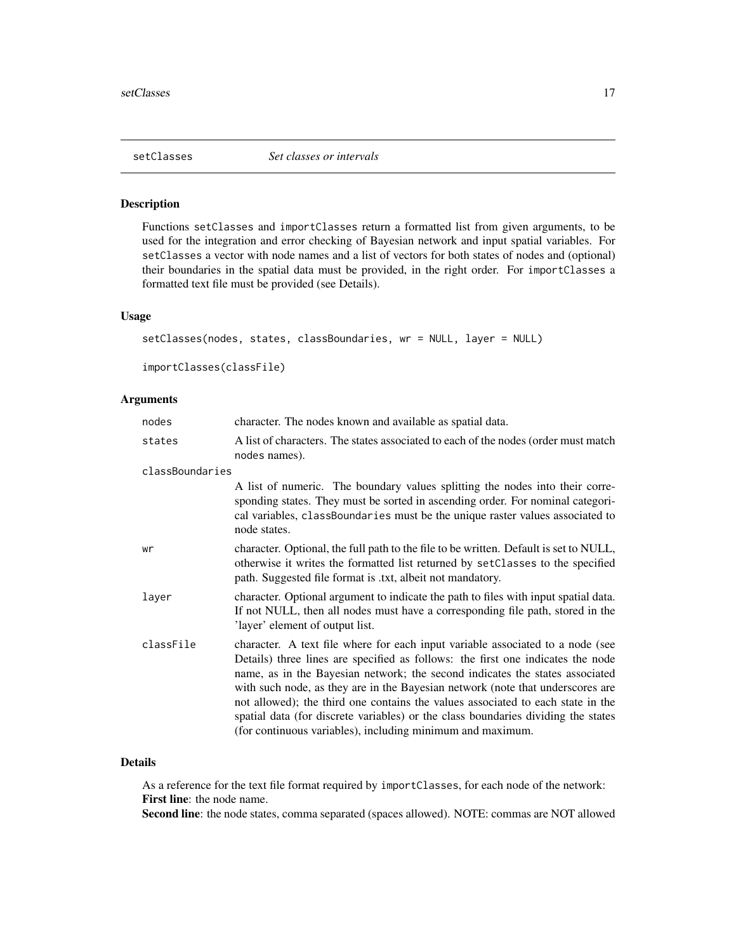<span id="page-16-1"></span><span id="page-16-0"></span>

#### <span id="page-16-2"></span>Description

Functions setClasses and importClasses return a formatted list from given arguments, to be used for the integration and error checking of Bayesian network and input spatial variables. For setClasses a vector with node names and a list of vectors for both states of nodes and (optional) their boundaries in the spatial data must be provided, in the right order. For importClasses a formatted text file must be provided (see Details).

#### Usage

```
setClasses(nodes, states, classBoundaries, wr = NULL, layer = NULL)
importClasses(classFile)
```
#### **Arguments**

| nodes           | character. The nodes known and available as spatial data.                                                                                                                                                                                                                                                                                                                                                                                                                                                                                                                 |
|-----------------|---------------------------------------------------------------------------------------------------------------------------------------------------------------------------------------------------------------------------------------------------------------------------------------------------------------------------------------------------------------------------------------------------------------------------------------------------------------------------------------------------------------------------------------------------------------------------|
| states          | A list of characters. The states associated to each of the nodes (order must match)<br>nodes names).                                                                                                                                                                                                                                                                                                                                                                                                                                                                      |
| classBoundaries |                                                                                                                                                                                                                                                                                                                                                                                                                                                                                                                                                                           |
|                 | A list of numeric. The boundary values splitting the nodes into their corre-<br>sponding states. They must be sorted in ascending order. For nominal categori-<br>cal variables, classBoundaries must be the unique raster values associated to<br>node states.                                                                                                                                                                                                                                                                                                           |
| wr              | character. Optional, the full path to the file to be written. Default is set to NULL,<br>otherwise it writes the formatted list returned by setClasses to the specified<br>path. Suggested file format is .txt, albeit not mandatory.                                                                                                                                                                                                                                                                                                                                     |
| layer           | character. Optional argument to indicate the path to files with input spatial data.<br>If not NULL, then all nodes must have a corresponding file path, stored in the<br>'layer' element of output list.                                                                                                                                                                                                                                                                                                                                                                  |
| classFile       | character. A text file where for each input variable associated to a node (see<br>Details) three lines are specified as follows: the first one indicates the node<br>name, as in the Bayesian network; the second indicates the states associated<br>with such node, as they are in the Bayesian network (note that underscores are<br>not allowed); the third one contains the values associated to each state in the<br>spatial data (for discrete variables) or the class boundaries dividing the states<br>(for continuous variables), including minimum and maximum. |

#### Details

As a reference for the text file format required by importClasses, for each node of the network: First line: the node name.

Second line: the node states, comma separated (spaces allowed). NOTE: commas are NOT allowed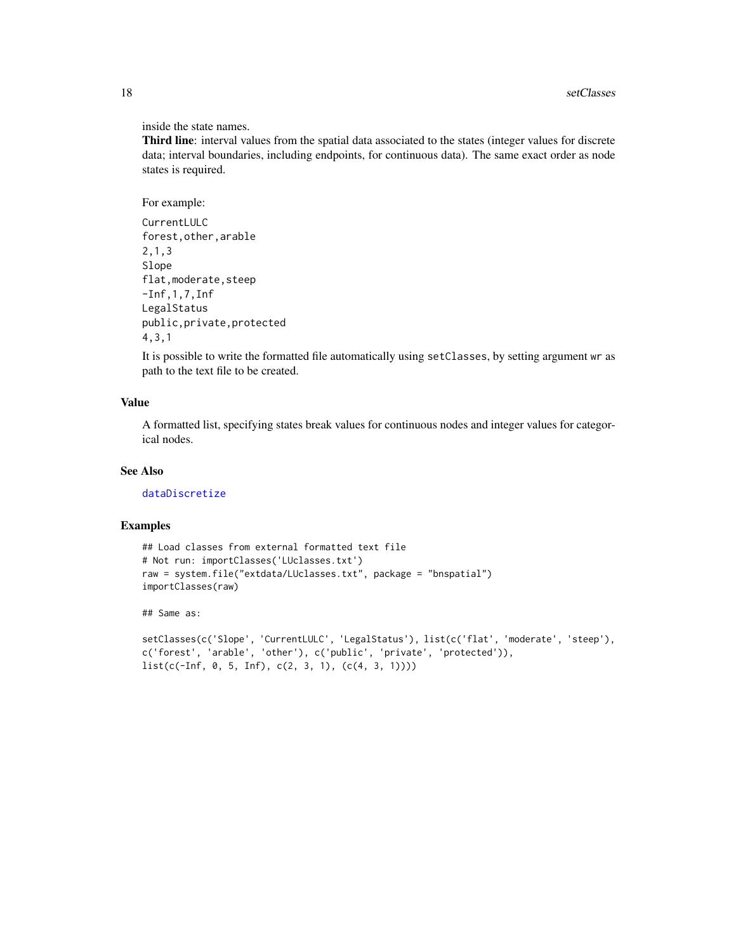#### inside the state names.

Third line: interval values from the spatial data associated to the states (integer values for discrete data; interval boundaries, including endpoints, for continuous data). The same exact order as node states is required.

#### For example:

```
CurrentLULC
forest,other,arable
2,1,3
Slope
flat, moderate, steep
-Inf,1,7,Inf
LegalStatus
public,private,protected
4,3,1
```
It is possible to write the formatted file automatically using setClasses, by setting argument wr as path to the text file to be created.

#### Value

A formatted list, specifying states break values for continuous nodes and integer values for categorical nodes.

#### See Also

[dataDiscretize](#page-6-1)

#### Examples

```
## Load classes from external formatted text file
# Not run: importClasses('LUclasses.txt')
raw = system.file("extdata/LUclasses.txt", package = "bnspatial")
importClasses(raw)
```
## Same as:

```
setClasses(c('Slope', 'CurrentLULC', 'LegalStatus'), list(c('flat', 'moderate', 'steep'),
c('forest', 'arable', 'other'), c('public', 'private', 'protected')),
list(c(-Inf, 0, 5, Inf), c(2, 3, 1), (c(4, 3, 1))))
```
<span id="page-17-0"></span>